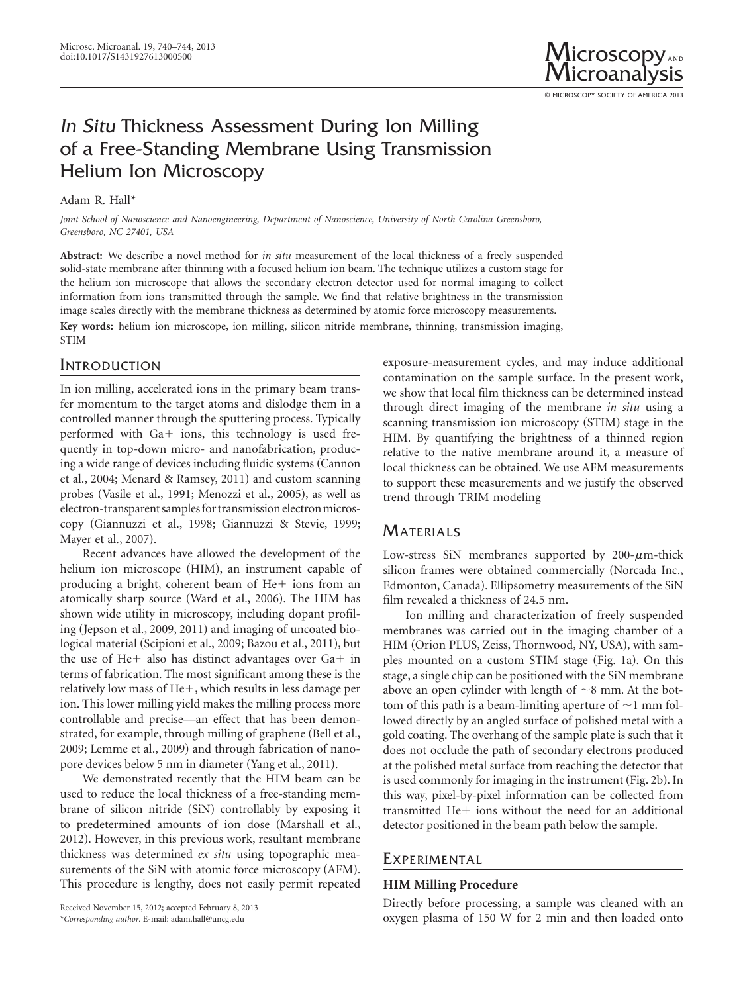

© MICROSCOPY SOCIETY OF AMERICA 2013

# In Situ Thickness Assessment During Ion Milling of a Free-Standing Membrane Using Transmission Helium Ion Microscopy

## Adam R. Hall\*

*Joint School of Nanoscience and Nanoengineering, Department of Nanoscience, University of North Carolina Greensboro, Greensboro, NC 27401, USA*

**Abstract:** We describe a novel method for *in situ* measurement of the local thickness of a freely suspended solid-state membrane after thinning with a focused helium ion beam. The technique utilizes a custom stage for the helium ion microscope that allows the secondary electron detector used for normal imaging to collect information from ions transmitted through the sample. We find that relative brightness in the transmission image scales directly with the membrane thickness as determined by atomic force microscopy measurements. **Key words:** helium ion microscope, ion milling, silicon nitride membrane, thinning, transmission imaging, STIM

# **INTRODUCTION**

In ion milling, accelerated ions in the primary beam transfer momentum to the target atoms and dislodge them in a controlled manner through the sputtering process. Typically performed with Ga+ ions, this technology is used frequently in top-down micro- and nanofabrication, producing a wide range of devices including fluidic systems (Cannon et al., 2004; Menard & Ramsey, 2011) and custom scanning probes (Vasile et al., 1991; Menozzi et al., 2005), as well as electron-transparent samples for transmission electron microscopy (Giannuzzi et al., 1998; Giannuzzi & Stevie, 1999; Mayer et al., 2007).

Recent advances have allowed the development of the helium ion microscope (HIM), an instrument capable of producing a bright, coherent beam of He+ ions from an atomically sharp source (Ward et al., 2006). The HIM has shown wide utility in microscopy, including dopant profiling (Jepson et al., 2009, 2011) and imaging of uncoated biological material (Scipioni et al., 2009; Bazou et al., 2011), but the use of He+ also has distinct advantages over Ga+ in terms of fabrication. The most significant among these is the relatively low mass of He+, which results in less damage per ion. This lower milling yield makes the milling process more controllable and precise—an effect that has been demonstrated, for example, through milling of graphene (Bell et al., 2009; Lemme et al., 2009) and through fabrication of nanopore devices below 5 nm in diameter (Yang et al., 2011).

We demonstrated recently that the HIM beam can be used to reduce the local thickness of a free-standing membrane of silicon nitride (SiN) controllably by exposing it to predetermined amounts of ion dose (Marshall et al., 2012). However, in this previous work, resultant membrane thickness was determined *ex situ* using topographic measurements of the SiN with atomic force microscopy (AFM). This procedure is lengthy, does not easily permit repeated

Received November 15, 2012; accepted February 8, 2013 \**Corresponding author*. E-mail: adam.hall@uncg.edu

exposure-measurement cycles, and may induce additional contamination on the sample surface. In the present work, we show that local film thickness can be determined instead through direct imaging of the membrane *in situ* using a scanning transmission ion microscopy (STIM) stage in the HIM. By quantifying the brightness of a thinned region relative to the native membrane around it, a measure of local thickness can be obtained. We use AFM measurements to support these measurements and we justify the observed trend through TRIM modeling

# **MATERIALS**

Low-stress SiN membranes supported by  $200-\mu$ m-thick silicon frames were obtained commercially (Norcada Inc., Edmonton, Canada). Ellipsometry measurements of the SiN film revealed a thickness of 24.5 nm.

Ion milling and characterization of freely suspended membranes was carried out in the imaging chamber of a HIM (Orion PLUS, Zeiss, Thornwood, NY, USA), with samples mounted on a custom STIM stage (Fig. 1a). On this stage, a single chip can be positioned with the SiN membrane above an open cylinder with length of  $\sim$ 8 mm. At the bottom of this path is a beam-limiting aperture of  $\sim$ 1 mm followed directly by an angled surface of polished metal with a gold coating. The overhang of the sample plate is such that it does not occlude the path of secondary electrons produced at the polished metal surface from reaching the detector that is used commonly for imaging in the instrument (Fig. 2b). In this way, pixel-by-pixel information can be collected from transmitted He+ ions without the need for an additional detector positioned in the beam path below the sample.

# **EXPERIMENTAL**

## **HIM Milling Procedure**

Directly before processing, a sample was cleaned with an oxygen plasma of 150 W for 2 min and then loaded onto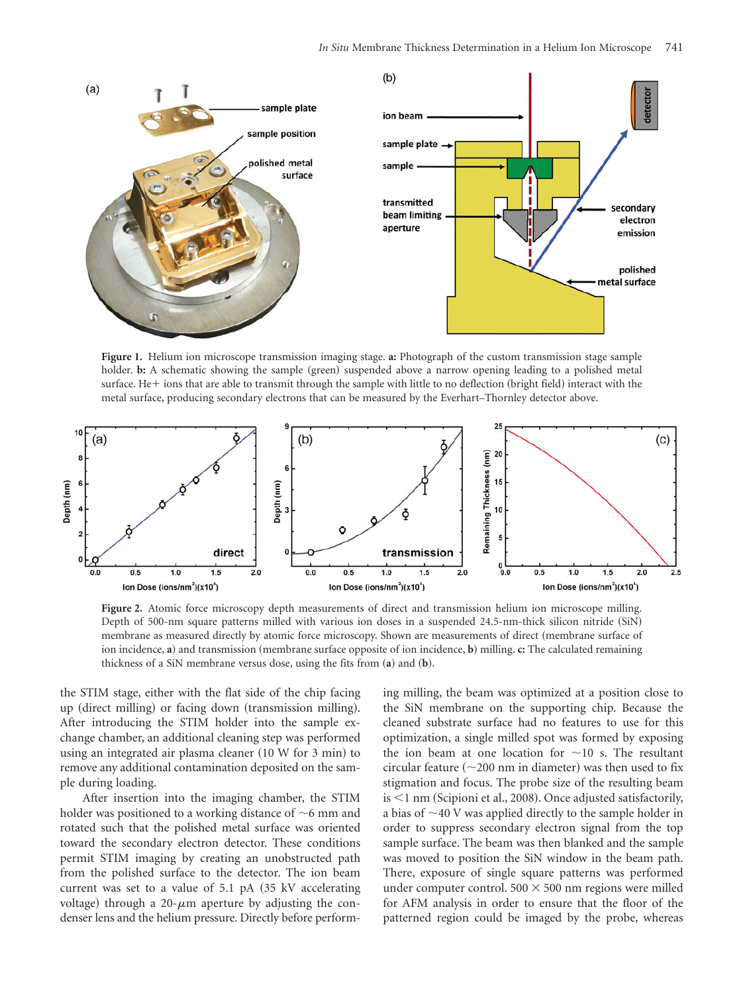

**Figure 1.** Helium ion microscope transmission imaging stage. **a:** Photograph of the custom transmission stage sample holder. **b:** A schematic showing the sample (green) suspended above a narrow opening leading to a polished metal surface. He+ ions that are able to transmit through the sample with little to no deflection (bright field) interact with the metal surface, producing secondary electrons that can be measured by the Everhart–Thornley detector above.



**Figure 2.** Atomic force microscopy depth measurements of direct and transmission helium ion microscope milling. Depth of 500-nm square patterns milled with various ion doses in a suspended 24.5-nm-thick silicon nitride (SiN) membrane as measured directly by atomic force microscopy. Shown are measurements of direct (membrane surface of ion incidence, **a**) and transmission (membrane surface opposite of ion incidence, **b**) milling. **c:** The calculated remaining thickness of a SiN membrane versus dose, using the fits from ~**a**! and ~**b**!.

the STIM stage, either with the flat side of the chip facing up (direct milling) or facing down (transmission milling). After introducing the STIM holder into the sample exchange chamber, an additional cleaning step was performed using an integrated air plasma cleaner  $(10 W for 3 min)$  to remove any additional contamination deposited on the sample during loading.

After insertion into the imaging chamber, the STIM holder was positioned to a working distance of  $\sim$ 6 mm and rotated such that the polished metal surface was oriented toward the secondary electron detector. These conditions permit STIM imaging by creating an unobstructed path from the polished surface to the detector. The ion beam current was set to a value of  $5.1$  pA  $(35 \text{ kV}$  accelerating voltage) through a 20- $\mu$ m aperture by adjusting the condenser lens and the helium pressure. Directly before performing milling, the beam was optimized at a position close to the SiN membrane on the supporting chip. Because the cleaned substrate surface had no features to use for this optimization, a single milled spot was formed by exposing the ion beam at one location for  $\sim$ 10 s. The resultant circular feature  $(\sim 200 \text{ nm}$  in diameter) was then used to fix stigmation and focus. The probe size of the resulting beam is  $<$ 1 nm (Scipioni et al., 2008). Once adjusted satisfactorily, a bias of  $\sim$ 40 V was applied directly to the sample holder in order to suppress secondary electron signal from the top sample surface. The beam was then blanked and the sample was moved to position the SiN window in the beam path. There, exposure of single square patterns was performed under computer control.  $500 \times 500$  nm regions were milled for AFM analysis in order to ensure that the floor of the patterned region could be imaged by the probe, whereas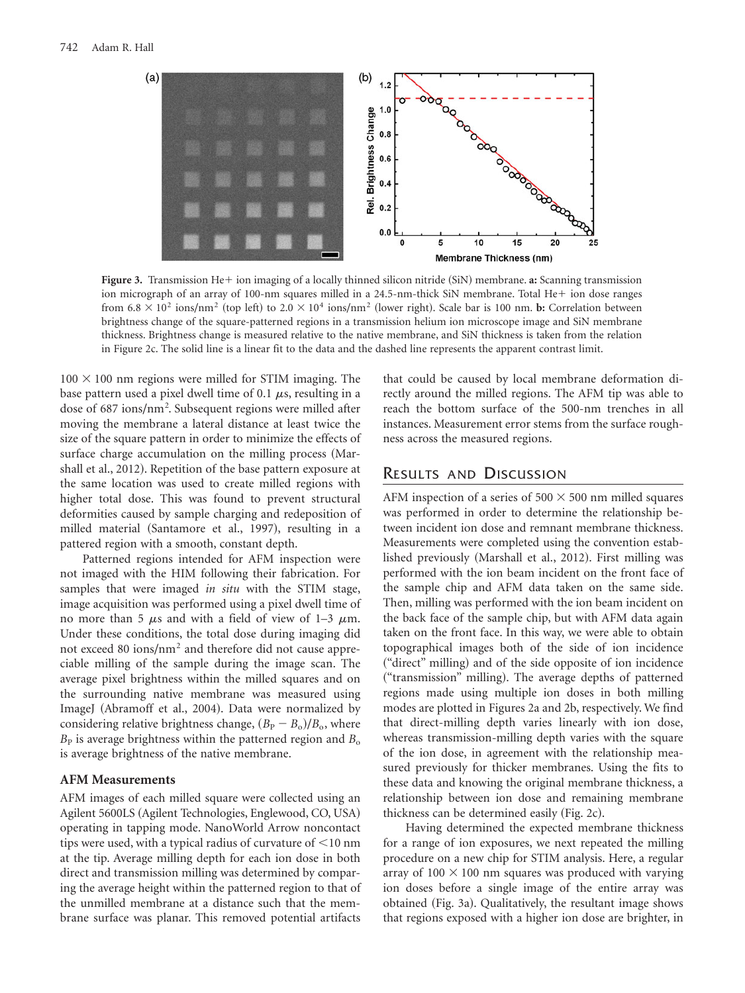

Figure 3. Transmission He+ ion imaging of a locally thinned silicon nitride (SiN) membrane. a: Scanning transmission ion micrograph of an array of 100-nm squares milled in a 24.5-nm-thick SiN membrane. Total He+ ion dose ranges from  $6.8 \times 10^2$  ions/nm<sup>2</sup> (top left) to  $2.0 \times 10^4$  ions/nm<sup>2</sup> (lower right). Scale bar is 100 nm. **b:** Correlation between brightness change of the square-patterned regions in a transmission helium ion microscope image and SiN membrane thickness. Brightness change is measured relative to the native membrane, and SiN thickness is taken from the relation in Figure 2c. The solid line is a linear fit to the data and the dashed line represents the apparent contrast limit.

 $100 \times 100$  nm regions were milled for STIM imaging. The base pattern used a pixel dwell time of 0.1  $\mu$ s, resulting in a dose of 687 ions/nm<sup>2</sup>. Subsequent regions were milled after moving the membrane a lateral distance at least twice the size of the square pattern in order to minimize the effects of surface charge accumulation on the milling process (Marshall et al., 2012). Repetition of the base pattern exposure at the same location was used to create milled regions with higher total dose. This was found to prevent structural deformities caused by sample charging and redeposition of milled material (Santamore et al., 1997), resulting in a pattered region with a smooth, constant depth.

Patterned regions intended for AFM inspection were not imaged with the HIM following their fabrication. For samples that were imaged *in situ* with the STIM stage, image acquisition was performed using a pixel dwell time of no more than 5  $\mu$ s and with a field of view of 1–3  $\mu$ m. Under these conditions, the total dose during imaging did not exceed 80 ions/nm<sup>2</sup> and therefore did not cause appreciable milling of the sample during the image scan. The average pixel brightness within the milled squares and on the surrounding native membrane was measured using ImageJ (Abramoff et al., 2004). Data were normalized by considering relative brightness change,  $(B_P - B_0)/B_o$ , where  $B<sub>P</sub>$  is average brightness within the patterned region and  $B<sub>o</sub>$ is average brightness of the native membrane.

#### **AFM Measurements**

AFM images of each milled square were collected using an Agilent 5600LS (Agilent Technologies, Englewood, CO, USA) operating in tapping mode. NanoWorld Arrow noncontact tips were used, with a typical radius of curvature of  $\leq 10$  nm at the tip. Average milling depth for each ion dose in both direct and transmission milling was determined by comparing the average height within the patterned region to that of the unmilled membrane at a distance such that the membrane surface was planar. This removed potential artifacts

that could be caused by local membrane deformation directly around the milled regions. The AFM tip was able to reach the bottom surface of the 500-nm trenches in all instances. Measurement error stems from the surface roughness across the measured regions.

## RESULTS AND DISCUSSION

AFM inspection of a series of  $500 \times 500$  nm milled squares was performed in order to determine the relationship between incident ion dose and remnant membrane thickness. Measurements were completed using the convention established previously (Marshall et al., 2012). First milling was performed with the ion beam incident on the front face of the sample chip and AFM data taken on the same side. Then, milling was performed with the ion beam incident on the back face of the sample chip, but with AFM data again taken on the front face. In this way, we were able to obtain topographical images both of the side of ion incidence ("direct" milling) and of the side opposite of ion incidence ("transmission" milling). The average depths of patterned regions made using multiple ion doses in both milling modes are plotted in Figures 2a and 2b, respectively. We find that direct-milling depth varies linearly with ion dose, whereas transmission-milling depth varies with the square of the ion dose, in agreement with the relationship measured previously for thicker membranes. Using the fits to these data and knowing the original membrane thickness, a relationship between ion dose and remaining membrane thickness can be determined easily (Fig. 2c).

Having determined the expected membrane thickness for a range of ion exposures, we next repeated the milling procedure on a new chip for STIM analysis. Here, a regular array of  $100 \times 100$  nm squares was produced with varying ion doses before a single image of the entire array was obtained (Fig. 3a). Qualitatively, the resultant image shows that regions exposed with a higher ion dose are brighter, in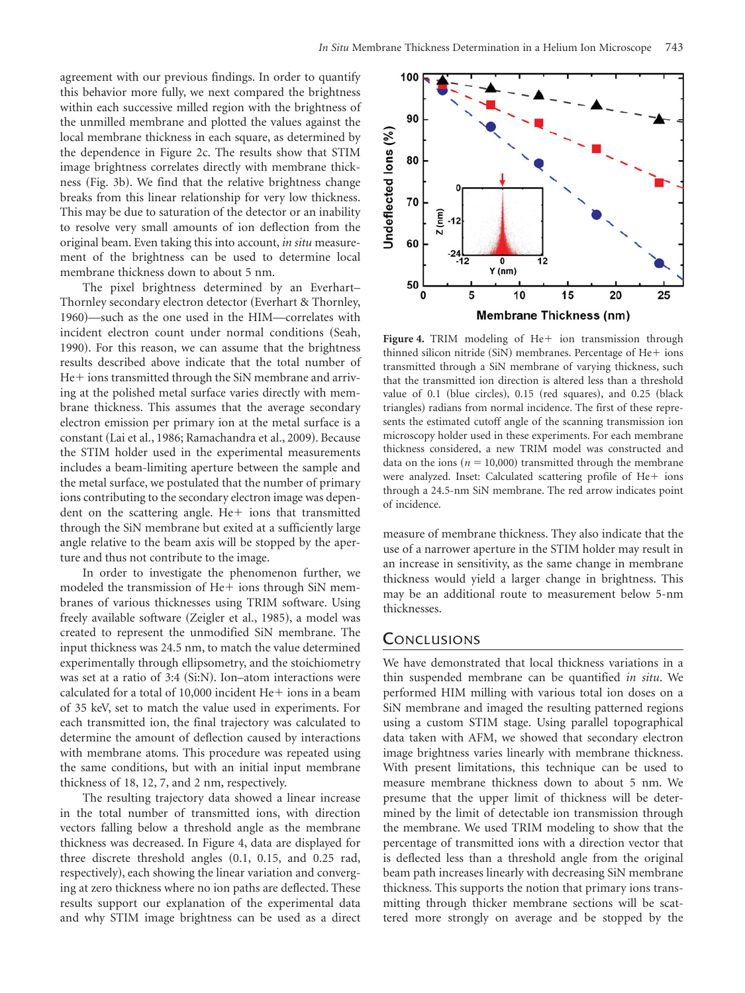agreement with our previous findings. In order to quantify this behavior more fully, we next compared the brightness within each successive milled region with the brightness of the unmilled membrane and plotted the values against the local membrane thickness in each square, as determined by the dependence in Figure 2c. The results show that STIM image brightness correlates directly with membrane thickness (Fig. 3b). We find that the relative brightness change breaks from this linear relationship for very low thickness. This may be due to saturation of the detector or an inability to resolve very small amounts of ion deflection from the original beam. Even taking this into account, *in situ* measurement of the brightness can be used to determine local membrane thickness down to about 5 nm.

The pixel brightness determined by an Everhart– Thornley secondary electron detector (Everhart & Thornley, 1960)—such as the one used in the HIM—correlates with incident electron count under normal conditions (Seah, 1990). For this reason, we can assume that the brightness results described above indicate that the total number of He+ ions transmitted through the SiN membrane and arriving at the polished metal surface varies directly with membrane thickness. This assumes that the average secondary electron emission per primary ion at the metal surface is a constant (Lai et al., 1986; Ramachandra et al., 2009). Because the STIM holder used in the experimental measurements includes a beam-limiting aperture between the sample and the metal surface, we postulated that the number of primary ions contributing to the secondary electron image was dependent on the scattering angle. He+ ions that transmitted through the SiN membrane but exited at a sufficiently large angle relative to the beam axis will be stopped by the aperture and thus not contribute to the image.

In order to investigate the phenomenon further, we modeled the transmission of He+ ions through SiN membranes of various thicknesses using TRIM software. Using freely available software (Zeigler et al., 1985), a model was created to represent the unmodified SiN membrane. The input thickness was 24.5 nm, to match the value determined experimentally through ellipsometry, and the stoichiometry was set at a ratio of  $3:4$  (Si:N). Ion–atom interactions were calculated for a total of 10,000 incident  $He+$  ions in a beam of 35 keV, set to match the value used in experiments. For each transmitted ion, the final trajectory was calculated to determine the amount of deflection caused by interactions with membrane atoms. This procedure was repeated using the same conditions, but with an initial input membrane thickness of 18, 12, 7, and 2 nm, respectively.

The resulting trajectory data showed a linear increase in the total number of transmitted ions, with direction vectors falling below a threshold angle as the membrane thickness was decreased. In Figure 4, data are displayed for three discrete threshold angles  $(0.1, 0.15,$  and  $0.25$  rad, respectively), each showing the linear variation and converging at zero thickness where no ion paths are deflected. These results support our explanation of the experimental data and why STIM image brightness can be used as a direct



Figure 4. TRIM modeling of He+ ion transmission through thinned silicon nitride (SiN) membranes. Percentage of He+ ions transmitted through a SiN membrane of varying thickness, such that the transmitted ion direction is altered less than a threshold value of 0.1 (blue circles),  $0.15$  (red squares), and  $0.25$  (black triangles) radians from normal incidence. The first of these represents the estimated cutoff angle of the scanning transmission ion microscopy holder used in these experiments. For each membrane thickness considered, a new TRIM model was constructed and data on the ions ( $n = 10,000$ ) transmitted through the membrane were analyzed. Inset: Calculated scattering profile of He+ ions through a 24.5-nm SiN membrane. The red arrow indicates point of incidence.

measure of membrane thickness. They also indicate that the use of a narrower aperture in the STIM holder may result in an increase in sensitivity, as the same change in membrane thickness would yield a larger change in brightness. This may be an additional route to measurement below 5-nm thicknesses.

## **CONCLUSIONS**

We have demonstrated that local thickness variations in a thin suspended membrane can be quantified *in situ*. We performed HIM milling with various total ion doses on a SiN membrane and imaged the resulting patterned regions using a custom STIM stage. Using parallel topographical data taken with AFM, we showed that secondary electron image brightness varies linearly with membrane thickness. With present limitations, this technique can be used to measure membrane thickness down to about 5 nm. We presume that the upper limit of thickness will be determined by the limit of detectable ion transmission through the membrane. We used TRIM modeling to show that the percentage of transmitted ions with a direction vector that is deflected less than a threshold angle from the original beam path increases linearly with decreasing SiN membrane thickness. This supports the notion that primary ions transmitting through thicker membrane sections will be scattered more strongly on average and be stopped by the